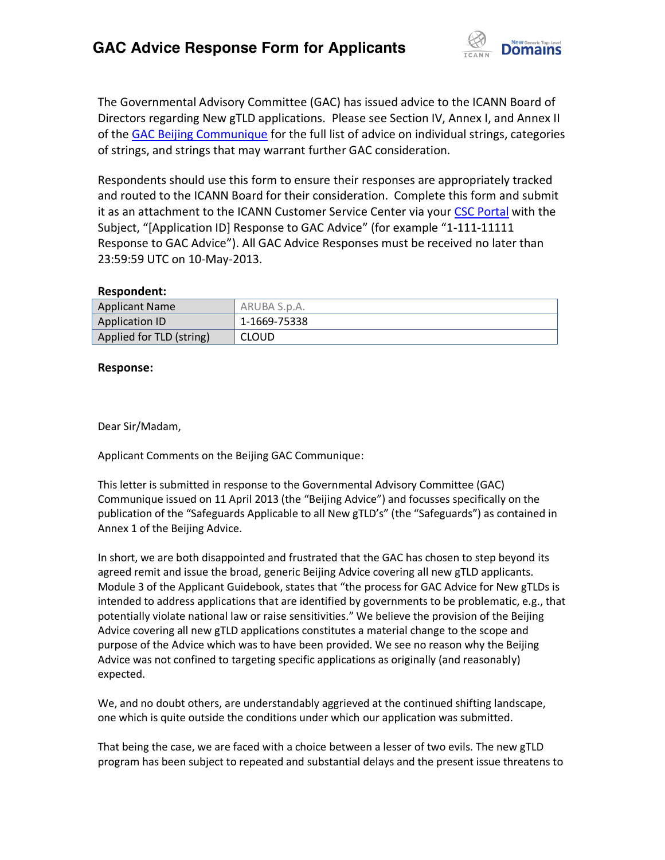

The Governmental Advisory Committee (GAC) has issued advice to the ICANN Board of Directors regarding New gTLD applications. Please see Section IV, Annex I, and Annex II of the [GAC Beijing Communique](http://www.icann.org/en/news/correspondence/gac-to-board-18apr13-en.pdf) for the full list of advice on individual strings, categories of strings, and strings that may warrant further GAC consideration.

Respondents should use this form to ensure their responses are appropriately tracked and routed to the ICANN Board for their consideration. Complete this form and submit it as an attachment to the ICANN Customer Service Center via your CSC [Portal](https://myicann.secure.force.com/) with the Subject, "[Application ID] Response to GAC Advice" (for example "1-111-11111 Response to GAC Advice"). All GAC Advice Responses must be received no later than 23:59:59 UTC on 10-May-2013.

#### **Respondent:**

| <b>Applicant Name</b>    | ARUBA S.p.A. |
|--------------------------|--------------|
| <b>Application ID</b>    | 1-1669-75338 |
| Applied for TLD (string) | <b>CLOUD</b> |

#### **Response:**

Dear Sir/Madam,

Applicant Comments on the Beijing GAC Communique:

This letter is submitted in response to the Governmental Advisory Committee (GAC) Communique issued on 11 April 2013 (the "Beijing Advice") and focusses specifically on the publication of the "Safeguards Applicable to all New gTLD's" (the "Safeguards") as contained in Annex 1 of the Beijing Advice.

In short, we are both disappointed and frustrated that the GAC has chosen to step beyond its agreed remit and issue the broad, generic Beijing Advice covering all new gTLD applicants. Module 3 of the Applicant Guidebook, states that "the process for GAC Advice for New gTLDs is intended to address applications that are identified by governments to be problematic, e.g., that potentially violate national law or raise sensitivities." We believe the provision of the Beijing Advice covering all new gTLD applications constitutes a material change to the scope and purpose of the Advice which was to have been provided. We see no reason why the Beijing Advice was not confined to targeting specific applications as originally (and reasonably) expected.

We, and no doubt others, are understandably aggrieved at the continued shifting landscape, one which is quite outside the conditions under which our application was submitted.

That being the case, we are faced with a choice between a lesser of two evils. The new gTLD program has been subject to repeated and substantial delays and the present issue threatens to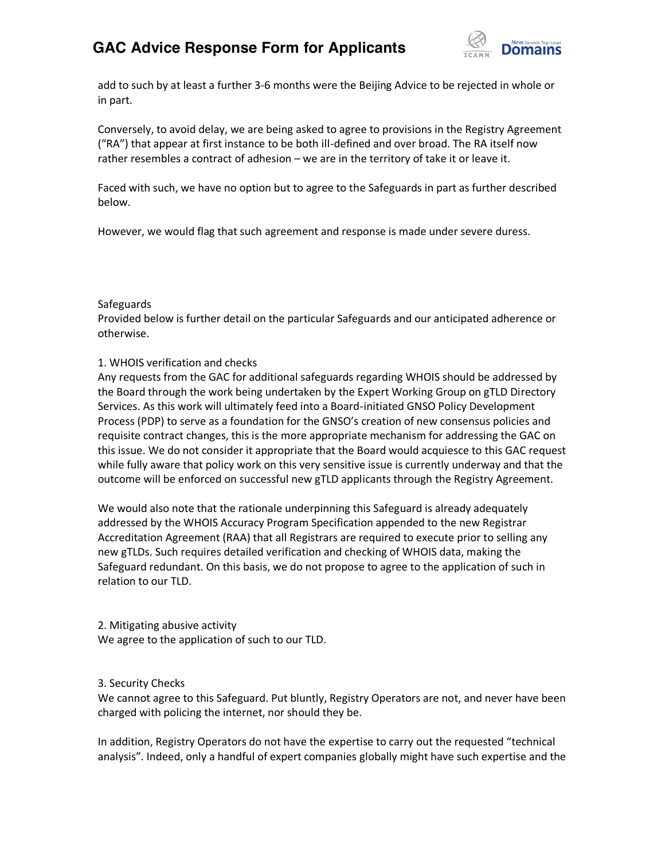## **GAC Advice Response Form for Applicants**



add to such by at least a further 3-6 months were the Beijing Advice to be rejected in whole or in part.

Conversely, to avoid delay, we are being asked to agree to provisions in the Registry Agreement ("RA") that appear at first instance to be both ill-defined and over broad. The RA itself now rather resembles a contract of adhesion – we are in the territory of take it or leave it.

Faced with such, we have no option but to agree to the Safeguards in part as further described below.

However, we would flag that such agreement and response is made under severe duress.

#### **Safeguards**

Provided below is further detail on the particular Safeguards and our anticipated adherence or otherwise.

## 1. WHOIS verification and checks

Any requests from the GAC for additional safeguards regarding WHOIS should be addressed by the Board through the work being undertaken by the Expert Working Group on gTLD Directory Services. As this work will ultimately feed into a Board-initiated GNSO Policy Development Process (PDP) to serve as a foundation for the GNSO's creation of new consensus policies and requisite contract changes, this is the more appropriate mechanism for addressing the GAC on this issue. We do not consider it appropriate that the Board would acquiesce to this GAC request while fully aware that policy work on this very sensitive issue is currently underway and that the outcome will be enforced on successful new gTLD applicants through the Registry Agreement.

We would also note that the rationale underpinning this Safeguard is already adequately addressed by the WHOIS Accuracy Program Specification appended to the new Registrar Accreditation Agreement (RAA) that all Registrars are required to execute prior to selling any new gTLDs. Such requires detailed verification and checking of WHOIS data, making the Safeguard redundant. On this basis, we do not propose to agree to the application of such in relation to our TLD.

2. Mitigating abusive activity We agree to the application of such to our TLD.

## 3. Security Checks

We cannot agree to this Safeguard. Put bluntly, Registry Operators are not, and never have been charged with policing the internet, nor should they be.

In addition, Registry Operators do not have the expertise to carry out the requested "technical analysis". Indeed, only a handful of expert companies globally might have such expertise and the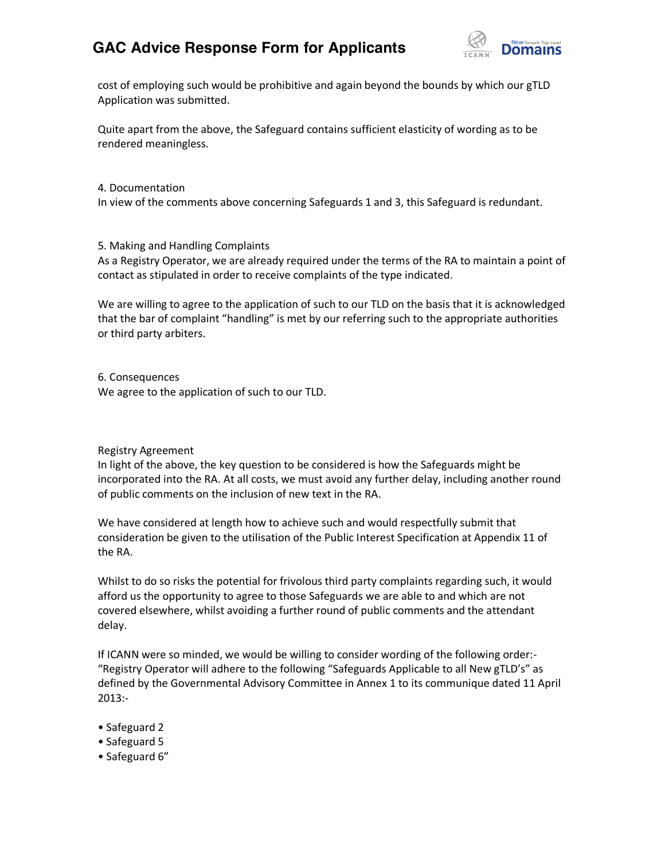## **GAC Advice Response Form for Applicants**



cost of employing such would be prohibitive and again beyond the bounds by which our gTLD Application was submitted.

Quite apart from the above, the Safeguard contains sufficient elasticity of wording as to be rendered meaningless.

4. Documentation

In view of the comments above concerning Safeguards 1 and 3, this Safeguard is redundant.

5. Making and Handling Complaints

As a Registry Operator, we are already required under the terms of the RA to maintain a point of contact as stipulated in order to receive complaints of the type indicated.

We are willing to agree to the application of such to our TLD on the basis that it is acknowledged that the bar of complaint "handling" is met by our referring such to the appropriate authorities or third party arbiters.

6. Consequences We agree to the application of such to our TLD.

## Registry Agreement

In light of the above, the key question to be considered is how the Safeguards might be incorporated into the RA. At all costs, we must avoid any further delay, including another round of public comments on the inclusion of new text in the RA.

We have considered at length how to achieve such and would respectfully submit that consideration be given to the utilisation of the Public Interest Specification at Appendix 11 of the RA.

Whilst to do so risks the potential for frivolous third party complaints regarding such, it would afford us the opportunity to agree to those Safeguards we are able to and which are not covered elsewhere, whilst avoiding a further round of public comments and the attendant delay.

If ICANN were so minded, we would be willing to consider wording of the following order:- "Registry Operator will adhere to the following "Safeguards Applicable to all New gTLD's" as defined by the Governmental Advisory Committee in Annex 1 to its communique dated 11 April 2013:-

- Safeguard 2
- Safeguard 5
- Safeguard 6"